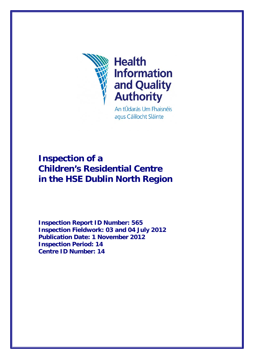

## **Health Information** and Quality<br>Authority

An tÚdarás Um Fhaisnéis agus Cáilíocht Sláinte

## **Inspection of a Children's Residential Centre in the HSE Dublin North Region**

**Inspection Report ID Number: 565 Inspection Fieldwork: 03 and 04 July 2012 Publication Date: 1 November 2012 Inspection Period: 14 Centre ID Number: 14**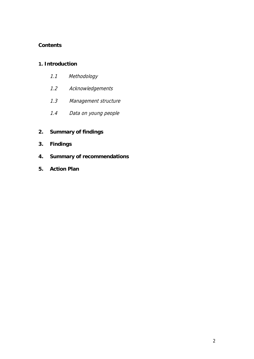#### **Contents**

#### **1. Introduction**

- 1.1 Methodology
- 1.2 Acknowledgements
- 1.3 Management structure
- 1.4 Data on young people

### **2. Summary of findings**

- **3. Findings**
- **4. Summary of recommendations**
- **5. Action Plan**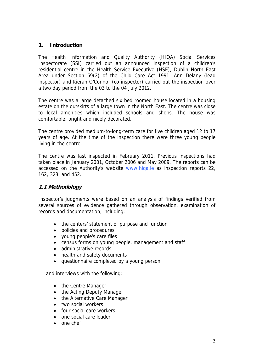#### **1. Introduction**

The Health Information and Quality Authority (HIQA) Social Services Inspectorate (SSI) carried out an announced inspection of a children's residential centre in the Health Service Executive (HSE), Dublin North East Area under Section 69(2) of the Child Care Act 1991. Ann Delany (lead inspector) and Kieran O'Connor (co-inspector) carried out the inspection over a two day period from the 03 to the 04 July 2012.

The centre was a large detached six bed roomed house located in a housing estate on the outskirts of a large town in the North East. The centre was close to local amenities which included schools and shops. The house was comfortable, bright and nicely decorated.

The centre provided medium-to-long-term care for five children aged 12 to 17 years of age. At the time of the inspection there were three young people living in the centre.

The centre was last inspected in February 2011. Previous inspections had taken place in January 2001, October 2006 and May 2009. The reports can be accessed on the Authority's website www.hiqa.ie as inspection reports 22, 162, 323, and 452.

#### **1.1 Methodology**

Inspector's judgments were based on an analysis of findings verified from several sources of evidence gathered through observation, examination of records and documentation, including:

- the centers' statement of purpose and function
- policies and procedures
- young people's care files
- census forms on young people, management and staff
- administrative records
- health and safety documents
- questionnaire completed by a young person

and interviews with the following:

- the Centre Manager
- the Acting Deputy Manager
- the Alternative Care Manager
- two social workers
- four social care workers
- one social care leader
- one chef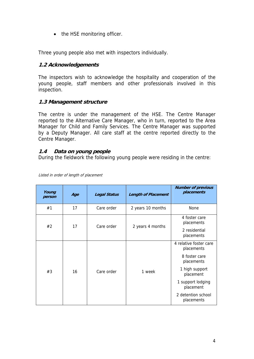• the HSE monitoring officer.

Three young people also met with inspectors individually.

#### **1.2 Acknowledgements**

The inspectors wish to acknowledge the hospitality and cooperation of the young people, staff members and other professionals involved in this inspection.

#### **1.3 Management structure**

The centre is under the management of the HSE. The Centre Manager reported to the Alternative Care Manager, who in turn, reported to the Area Manager for Child and Family Services. The Centre Manager was supported by a Deputy Manager. All care staff at the centre reported directly to the Centre Manager.

#### **1.4 Data on young people**

During the fieldwork the following young people were residing in the centre:

| Young<br>person | Age | <b>Legal Status</b> | <b>Length of Placement</b> | <b>Number of previous</b><br>placements                                                                                                                                  |
|-----------------|-----|---------------------|----------------------------|--------------------------------------------------------------------------------------------------------------------------------------------------------------------------|
| #1              | 17  | Care order          | 2 years 10 months          | None                                                                                                                                                                     |
| #2              | 17  | Care order          | 2 years 4 months           | 4 foster care<br>placements<br>2 residential<br>placements                                                                                                               |
| #3              | 16  | Care order          | 1 week                     | 4 relative foster care<br>placements<br>8 foster care<br>placements<br>1 high support<br>placement<br>1 support lodging<br>placement<br>2 detention school<br>placements |

Listed in order of length of placement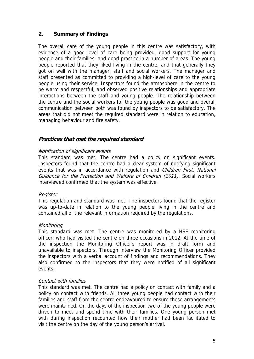#### **2. Summary of Findings**

The overall care of the young people in this centre was satisfactory, with evidence of a good level of care being provided, good support for young people and their families, and good practice in a number of areas. The young people reported that they liked living in the centre, and that generally they got on well with the manager, staff and social workers. The manager and staff presented as committed to providing a high-level of care to the young people using their service. Inspectors found the atmosphere in the centre to be warm and respectful, and observed positive relationships and appropriate interactions between the staff and young people. The relationship between the centre and the social workers for the young people was good and overall communication between both was found by inspectors to be satisfactory. The areas that did not meet the required standard were in relation to education, managing behaviour and fire safety.

#### **Practices that met the required standard**

#### Notification of significant events

This standard was met. The centre had a policy on significant events. Inspectors found that the centre had a clear system of notifying significant events that was in accordance with regulation and Children First: National Guidance for the Protection and Welfare of Children (2011). Social workers interviewed confirmed that the system was effective.

#### **Register**

This regulation and standard was met. The inspectors found that the register was up-to-date in relation to the young people living in the centre and contained all of the relevant information required by the regulations.

#### Monitoring

This standard was met. The centre was monitored by a HSE monitoring officer, who had visited the centre on three occasions in 2012. At the time of the inspection the Monitoring Officer's report was in draft form and unavailable to inspectors. Through interview the Monitoring Officer provided the inspectors with a verbal account of findings and recommendations. They also confirmed to the inspectors that they were notified of all significant events.

#### Contact with families

This standard was met. The centre had a policy on contact with family and a policy on contact with friends. All three young people had contact with their families and staff from the centre endeavoured to ensure these arrangements were maintained. On the days of the inspection two of the young people were driven to meet and spend time with their families. One young person met with during inspection recounted how their mother had been facilitated to visit the centre on the day of the young person's arrival.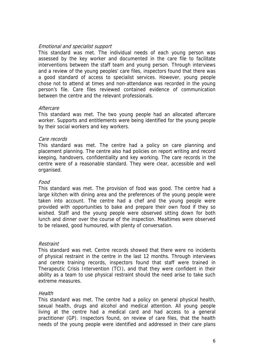#### Emotional and specialist support

This standard was met. The individual needs of each young person was assessed by the key worker and documented in the care file to facilitate interventions between the staff team and young person. Through interviews and a review of the young peoples' care files, inspectors found that there was a good standard of access to specialist services. However, young people chose not to attend at times and non-attendance was recorded in the young person's file. Care files reviewed contained evidence of communication between the centre and the relevant professionals.

#### **Aftercare**

This standard was met. The two young people had an allocated aftercare worker. Supports and entitlements were being identified for the young people by their social workers and key workers.

#### Care records

This standard was met. The centre had a policy on care planning and placement planning. The centre also had policies on report writing and record keeping, handovers, confidentiality and key working. The care records in the centre were of a reasonable standard. They were clear, accessible and well organised.

#### Food

This standard was met. The provision of food was good. The centre had a large kitchen with dining area and the preferences of the young people were taken into account. The centre had a chef and the young people were provided with opportunities to bake and prepare their own food if they so wished. Staff and the young people were observed sitting down for both lunch and dinner over the course of the inspection. Mealtimes were observed to be relaxed, good humoured, with plenty of conversation.

#### Restraint

This standard was met. Centre records showed that there were no incidents of physical restraint in the centre in the last 12 months. Through interviews and centre training records, inspectors found that staff were trained in Therapeutic Crisis Intervention (TCI), and that they were confident in their ability as a team to use physical restraint should the need arise to take such extreme measures.

#### **Health**

This standard was met. The centre had a policy on general physical health, sexual health, drugs and alcohol and medical attention. All young people living at the centre had a medical card and had access to a general practitioner (GP). Inspectors found, on review of care files, that the health needs of the young people were identified and addressed in their care plans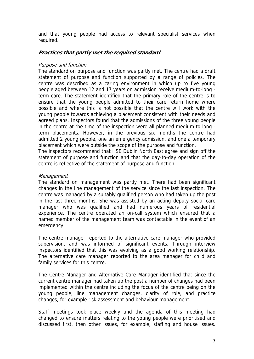and that young people had access to relevant specialist services when required.

#### **Practices that partly met the required standard**

#### Purpose and function

The standard on purpose and function was partly met. The centre had a draft statement of purpose and function supported by a range of policies. The centre was described as a caring environment in which up to five young people aged between 12 and 17 years on admission receive medium-to-long term care. The statement identified that the primary role of the centre is to ensure that the young people admitted to their care return home where possible and where this is not possible that the centre will work with the young people towards achieving a placement consistent with their needs and agreed plans. Inspectors found that the admissions of the three young people in the centre at the time of the inspection were all planned medium-to long term placements. However, in the previous six months the centre had admitted 2 young people, one an emergency admission, and one a temporary placement which were outside the scope of the purpose and function.

The inspectors recommend that HSE Dublin North East agree and sign off the statement of purpose and function and that the day-to-day operation of the centre is reflective of the statement of purpose and function.

#### Management

The standard on management was partly met. There had been significant changes in the line management of the service since the last inspection. The centre was managed by a suitably qualified person who had taken up the post in the last three months. She was assisted by an acting deputy social care manager who was qualified and had numerous years of residential experience. The centre operated an on-call system which ensured that a named member of the management team was contactable in the event of an emergency.

The centre manager reported to the alternative care manager who provided supervision, and was informed of significant events. Through interview inspectors identified that this was evolving as a good working relationship. The alternative care manager reported to the area manager for child and family services for this centre.

The Centre Manager and Alternative Care Manager identified that since the current centre manager had taken up the post a number of changes had been implemented within the centre including the focus of the centre being on the young people, line management changes, clarity of role, and practice changes, for example risk assessment and behaviour management.

Staff meetings took place weekly and the agenda of this meeting had changed to ensure matters relating to the young people were prioritised and discussed first, then other issues, for example, staffing and house issues.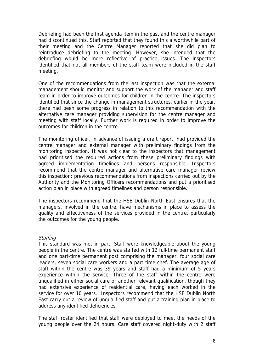Debriefing had been the first agenda item in the past and the centre manager had discontinued this. Staff reported that they found this a worthwhile part of their meeting and the Centre Manager reported that she did plan to reintroduce debriefing to the meeting. However, she intended that the debriefing would be more reflective of practice issues. The inspectors identified that not all members of the staff team were included in the staff meeting.

One of the recommendations from the last inspection was that the external management should monitor and support the work of the manager and staff team in order to improve outcomes for children in the centre. The inspectors identified that since the change in management structures, earlier in the year, there had been some progress in relation to this recommendation with the alternative care manager providing supervision for the centre manager and meeting with staff locally. Further work is required in order to improve the outcomes for children in the centre.

The monitoring officer, in advance of issuing a draft report, had provided the centre manager and external manager with preliminary findings from the monitoring inspection. It was not clear to the inspectors that management had prioritised the required actions from these preliminary findings with agreed implementation timelines and persons responsible. Inspectors recommend that the centre manager and alternative care manager review this inspection; previous recommendations from inspections carried out by the Authority and the Monitoring Officers recommendations and put a prioritised action plan in place with agreed timelines and person responsible.

The inspectors recommend that the HSE Dublin North East ensures that the managers, involved in the centre, have mechanisms in place to assess the quality and effectiveness of the services provided in the centre, particularly the outcomes for the young people.

#### **Staffing**

This standard was met in part. Staff were knowledgeable about the young people in the centre. The centre was staffed with 12 full-time permanent staff and one part-time permanent post comprising the manager, four social care leaders, seven social care workers and a part time chef. The average age of staff within the centre was 39 years and staff had a minimum of 5 years experience within the service. Three of the staff within the centre were unqualified in either social care or another relevant qualification, though they had extensive experience of residential care, having each worked in the service for over 10 years. Inspectors recommend that the HSE Dublin North East carry out a review of unqualified staff and put a training plan in place to address any identified deficiencies.

The staff roster identified that staff were deployed to meet the needs of the young people over the 24 hours. Care staff covered night-duty with 2 staff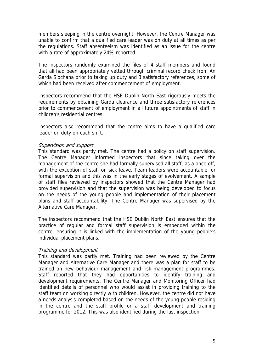members sleeping in the centre overnight. However, the Centre Manager was unable to confirm that a qualified care leader was on duty at all times as per the regulations. Staff absenteeism was identified as an issue for the centre with a rate of approximately 24% reported.

The inspectors randomly examined the files of 4 staff members and found that all had been appropriately vetted through criminal record check from An Garda Síochána prior to taking up duty and 3 satisfactory references, some of which had been received after commencement of employment.

Inspectors recommend that the HSE Dublin North East rigorously meets the requirements by obtaining Garda clearance and three satisfactory references prior to commencement of employment in all future appointments of staff in children's residential centres.

Inspectors also recommend that the centre aims to have a qualified care leader on duty on each shift.

#### Supervision and support

This standard was partly met. The centre had a policy on staff supervision. The Centre Manager informed inspectors that since taking over the management of the centre she had formally supervised all staff, as a once off, with the exception of staff on sick leave. Team leaders were accountable for formal supervision and this was in the early stages of evolvement. A sample of staff files reviewed by inspectors showed that the Centre Manager had provided supervision and that the supervision was being developed to focus on the needs of the young people and implementation of their placement plans and staff accountability. The Centre Manager was supervised by the Alternative Care Manager.

The inspectors recommend that the HSE Dublin North East ensures that the practice of regular and formal staff supervision is embedded within the centre, ensuring it is linked with the implementation of the young people's individual placement plans.

#### Training and development

This standard was partly met. Training had been reviewed by the Centre Manager and Alternative Care Manager and there was a plan for staff to be trained on new behaviour management and risk management programmes. Staff reported that they had opportunities to identify training and development requirements. The Centre Manager and Monitoring Officer had identified details of personnel who would assist in providing training to the staff team on working directly with children. However, the centre did not have a needs analysis completed based on the needs of the young people residing in the centre and the staff profile or a staff development and training programme for 2012. This was also identified during the last inspection.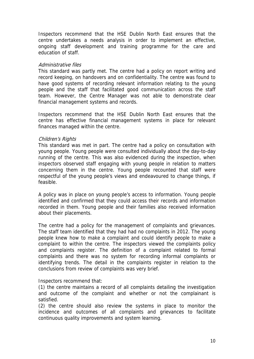Inspectors recommend that the HSE Dublin North East ensures that the centre undertakes a needs analysis in order to implement an effective, ongoing staff development and training programme for the care and education of staff.

#### Administrative files

This standard was partly met. The centre had a policy on report writing and record keeping, on handovers and on confidentiality. The centre was found to have good systems of recording relevant information relating to the young people and the staff that facilitated good communication across the staff team. However, the Centre Manager was not able to demonstrate clear financial management systems and records.

Inspectors recommend that the HSE Dublin North East ensures that the centre has effective financial management systems in place for relevant finances managed within the centre.

#### Children's Rights

This standard was met in part. The centre had a policy on consultation with young people. Young people were consulted individually about the day-to-day running of the centre. This was also evidenced during the inspection, when inspectors observed staff engaging with young people in relation to matters concerning them in the centre. Young people recounted that staff were respectful of the young people's views and endeavoured to change things, if feasible.

A policy was in place on young people's access to information. Young people identified and confirmed that they could access their records and information recorded in them. Young people and their families also received information about their placements.

The centre had a policy for the management of complaints and grievances. The staff team identified that they had had no complaints in 2012. The young people knew how to make a complaint and could identify people to make a complaint to within the centre. The inspectors viewed the complaints policy and complaints register. The definition of a complaint related to formal complaints and there was no system for recording informal complaints or identifying trends. The detail in the complaints register in relation to the conclusions from review of complaints was very brief.

Inspectors recommend that:

(1) the centre maintains a record of all complaints detailing the investigation and outcome of the complaint and whether or not the complainant is satisfied.

(2) the centre should also review the systems in place to monitor the incidence and outcomes of all complaints and grievances to facilitate continuous quality improvements and system learning.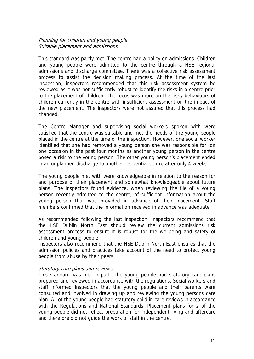#### Planning for children and young people Suitable placement and admissions

This standard was partly met. The centre had a policy on admissions. Children and young people were admitted to the centre through a HSE regional admissions and discharge committee. There was a collective risk assessment process to assist the decision making process. At the time of the last inspection, inspectors recommended that this risk assessment system be reviewed as it was not sufficiently robust to identify the risks in a centre prior to the placement of children. The focus was more on the risky behaviours of children currently in the centre with insufficient assessment on the impact of the new placement. The inspectors were not assured that this process had changed.

The Centre Manager and supervising social workers spoken with were satisfied that the centre was suitable and met the needs of the young people placed in the centre at the time of the inspection. However, one social worker identified that she had removed a young person she was responsible for, on one occasion in the past four months as another young person in the centre posed a risk to the young person. The other young person's placement ended in an unplanned discharge to another residential centre after only 4 weeks.

The young people met with were knowledgeable in relation to the reason for and purpose of their placement and somewhat knowledgeable about future plans. The inspectors found evidence, when reviewing the file of a young person recently admitted to the centre, of sufficient information about the young person that was provided in advance of their placement. Staff members confirmed that the information received in advance was adequate.

As recommended following the last inspection, inspectors recommend that the HSE Dublin North East should review the current admissions risk assessment process to ensure it is robust for the wellbeing and safety of children and young people.

Inspectors also recommend that the HSE Dublin North East ensures that the admission policies and practices take account of the need to protect young people from abuse by their peers.

#### Statutory care plans and reviews

This standard was met in part. The young people had statutory care plans prepared and reviewed in accordance with the regulations. Social workers and staff informed inspectors that the young people and their parents were consulted and involved in drawing up and reviewing the young persons care plan. All of the young people had statutory child in care reviews in accordance with the Regulations and National Standards. Placement plans for 2 of the young people did not reflect preparation for independent living and aftercare and therefore did not guide the work of staff in the centre.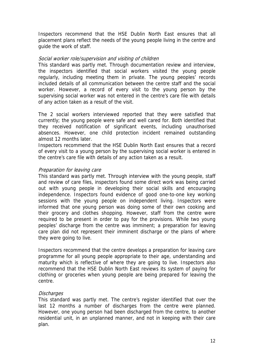Inspectors recommend that the HSE Dublin North East ensures that all placement plans reflect the needs of the young people living in the centre and guide the work of staff.

#### Social worker role/supervision and visiting of children

This standard was partly met. Through documentation review and interview, the inspectors identified that social workers visited the young people regularly, including meeting them in private. The young peoples' records included details of all communication between the centre staff and the social worker. However, a record of every visit to the young person by the supervising social worker was not entered in the centre's care file with details of any action taken as a result of the visit.

The 2 social workers interviewed reported that they were satisfied that currently; the young people were safe and well cared for. Both identified that they received notification of significant events, including unauthorised absences. However, one child protection incident remained outstanding almost 12 months later.

Inspectors recommend that the HSE Dublin North East ensures that a record of every visit to a young person by the supervising social worker is entered in the centre's care file with details of any action taken as a result.

#### Preparation for leaving care

This standard was partly met. Through interview with the young people, staff and review of care files, inspectors found some direct work was being carried out with young people in developing their social skills and encouraging independence. Inspectors found evidence of good one-to-one key working sessions with the young people on independent living. Inspectors were informed that one young person was doing some of their own cooking and their grocery and clothes shopping. However, staff from the centre were required to be present in order to pay for the provisions. While two young peoples' discharge from the centre was imminent; a preparation for leaving care plan did not represent their imminent discharge or the plans of where they were going to live.

Inspectors recommend that the centre develops a preparation for leaving care programme for all young people appropriate to their age, understanding and maturity which is reflective of where they are going to live. Inspectors also recommend that the HSE Dublin North East reviews its system of paying for clothing or groceries when young people are being prepared for leaving the centre.

#### **Discharges**

This standard was partly met. The centre's register identified that over the last 12 months a number of discharges from the centre were planned. However, one young person had been discharged from the centre, to another residential unit, in an unplanned manner, and not in keeping with their care plan.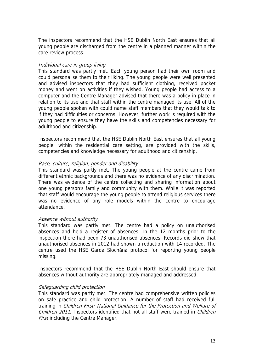The inspectors recommend that the HSE Dublin North East ensures that all young people are discharged from the centre in a planned manner within the care review process.

#### Individual care in group living

This standard was partly met. Each young person had their own room and could personalise them to their liking. The young people were well presented and advised inspectors that they had sufficient clothing, received pocket money and went on activities if they wished. Young people had access to a computer and the Centre Manager advised that there was a policy in place in relation to its use and that staff within the centre managed its use. All of the young people spoken with could name staff members that they would talk to if they had difficulties or concerns. However, further work is required with the young people to ensure they have the skills and competencies necessary for adulthood and citizenship.

Inspectors recommend that the HSE Dublin North East ensures that all young people, within the residential care setting, are provided with the skills, competencies and knowledge necessary for adulthood and citizenship.

#### Race, culture, religion, gender and disability

This standard was partly met. The young people at the centre came from different ethnic backgrounds and there was no evidence of any discrimination. There was evidence of the centre collecting and sharing information about one young person's family and community with them. While it was reported that staff would encourage the young people to attend religious services there was no evidence of any role models within the centre to encourage attendance.

#### Absence without authority

This standard was partly met. The centre had a policy on unauthorised absences and held a register of absences. In the 12 months prior to the inspection there had been 73 unauthorised absences. Records did show that unauthorised absences in 2012 had shown a reduction with 14 recorded. The centre used the HSE Garda Síochána protocol for reporting young people missing.

Inspectors recommend that the HSE Dublin North East should ensure that absences without authority are appropriately managed and addressed.

#### Safeguarding child protection

This standard was partly met. The centre had comprehensive written policies on safe practice and child protection. A number of staff had received full training in Children First: National Guidance for the Protection and Welfare of Children 2011. Inspectors identified that not all staff were trained in Children **First including the Centre Manager.**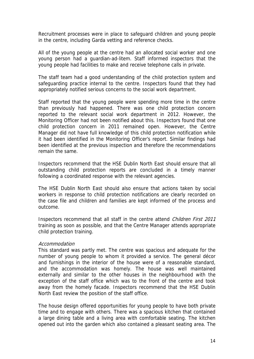Recruitment processes were in place to safeguard children and young people in the centre, including Garda vetting and reference checks.

All of the young people at the centre had an allocated social worker and one young person had a guardian-ad-litem. Staff informed inspectors that the young people had facilities to make and receive telephone calls in private.

The staff team had a good understanding of the child protection system and safeguarding practice internal to the centre. Inspectors found that they had appropriately notified serious concerns to the social work department.

Staff reported that the young people were spending more time in the centre than previously had happened. There was one child protection concern reported to the relevant social work department in 2012. However, the Monitoring Officer had not been notified about this. Inspectors found that one child protection concern in 2011 remained open. However, the Centre Manager did not have full knowledge of this child protection notification while it had been identified in the Monitoring Officer's report. Similar findings had been identified at the previous inspection and therefore the recommendations remain the same.

Inspectors recommend that the HSE Dublin North East should ensure that all outstanding child protection reports are concluded in a timely manner following a coordinated response with the relevant agencies.

The HSE Dublin North East should also ensure that actions taken by social workers in response to child protection notifications are clearly recorded on the case file and children and families are kept informed of the process and outcome.

Inspectors recommend that all staff in the centre attend Children First 2011 training as soon as possible, and that the Centre Manager attends appropriate child protection training.

#### Accommodation

This standard was partly met. The centre was spacious and adequate for the number of young people to whom it provided a service. The general décor and furnishings in the interior of the house were of a reasonable standard, and the accommodation was homely. The house was well maintained externally and similar to the other houses in the neighbourhood with the exception of the staff office which was to the front of the centre and took away from the homely facade. Inspectors recommend that the HSE Dublin North East review the position of the staff office.

The house design offered opportunities for young people to have both private time and to engage with others. There was a spacious kitchen that contained a large dining table and a living area with comfortable seating. The kitchen opened out into the garden which also contained a pleasant seating area. The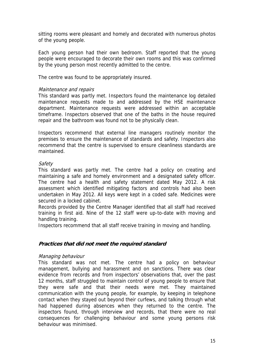sitting rooms were pleasant and homely and decorated with numerous photos of the young people.

Each young person had their own bedroom. Staff reported that the young people were encouraged to decorate their own rooms and this was confirmed by the young person most recently admitted to the centre.

The centre was found to be appropriately insured.

#### Maintenance and repairs

This standard was partly met. Inspectors found the maintenance log detailed maintenance requests made to and addressed by the HSE maintenance department. Maintenance requests were addressed within an acceptable timeframe. Inspectors observed that one of the baths in the house required repair and the bathroom was found not to be physically clean.

Inspectors recommend that external line managers routinely monitor the premises to ensure the maintenance of standards and safety. Inspectors also recommend that the centre is supervised to ensure cleanliness standards are maintained.

#### **Safety**

This standard was partly met. The centre had a policy on creating and maintaining a safe and homely environment and a designated safety officer. The centre had a health and safety statement dated May 2012. A risk assessment which identified mitigating factors and controls had also been undertaken in May 2012. All keys were kept in a coded safe. Medicines were secured in a locked cabinet.

Records provided by the Centre Manager identified that all staff had received training in first aid. Nine of the 12 staff were up-to-date with moving and handling training.

Inspectors recommend that all staff receive training in moving and handling.

#### **Practices that did not meet the required standard**

#### Managing behaviour

This standard was not met. The centre had a policy on behaviour management, bullying and harassment and on sanctions. There was clear evidence from records and from inspectors' observations that, over the past 12 months, staff struggled to maintain control of young people to ensure that they were safe and that their needs were met. They maintained communication with the young people, for example, by keeping in telephone contact when they stayed out beyond their curfews, and talking through what had happened during absences when they returned to the centre. The inspectors found, through interview and records, that there were no real consequences for challenging behaviour and some young persons risk behaviour was minimised.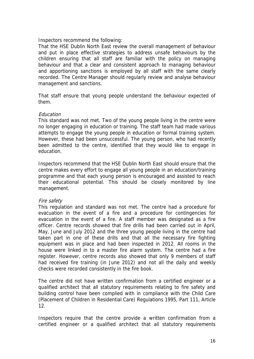Inspectors recommend the following:

That the HSE Dublin North East review the overall management of behaviour and put in place effective strategies to address unsafe behaviours by the children ensuring that all staff are familiar with the policy on managing behaviour and that a clear and consistent approach to managing behaviour and apportioning sanctions is employed by all staff with the same clearly recorded. The Centre Manager should regularly review and analyse behaviour management and sanctions.

That staff ensure that young people understand the behaviour expected of them.

#### Education

This standard was not met. Two of the young people living in the centre were no longer engaging in education or training. The staff team had made various attempts to engage the young people in education or formal training system. However, these had been unsuccessful. The young person, who had recently been admitted to the centre, identified that they would like to engage in education.

Inspectors recommend that the HSE Dublin North East should ensure that the centre makes every effort to engage all young people in an education/training programme and that each young person is encouraged and assisted to reach their educational potential. This should be closely monitored by line management.

#### Fire safety

This regulation and standard was not met. The centre had a procedure for evacuation in the event of a fire and a procedure for contingencies for evacuation in the event of a fire. A staff member was designated as a fire officer. Centre records showed that fire drills had been carried out in April, May, June and July 2012 and the three young people living in the centre had taken part in one of these drills and that all the necessary fire fighting equipment was in place and had been inspected in 2012. All rooms in the house were linked in to a master fire alarm system. The centre had a fire register. However, centre records also showed that only 9 members of staff had received fire training (in June 2012) and not all the daily and weekly checks were recorded consistently in the fire book.

The centre did not have written confirmation from a certified engineer or a qualified architect that all statutory requirements relating to fire safety and building control have been complied with in compliance with the Child Care (Placement of Children in Residential Care) Regulations 1995, Part 111, Article 12.

Inspectors require that the centre provide a written confirmation from a certified engineer or a qualified architect that all statutory requirements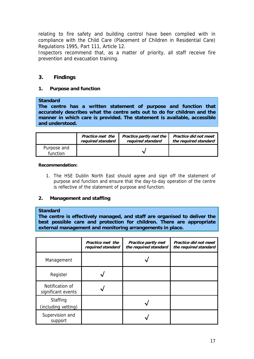relating to fire safety and building control have been complied with in compliance with the Child Care (Placement of Children in Residential Care) Regulations 1995, Part 111, Article 12.

Inspectors recommend that, as a matter of priority, all staff receive fire prevention and evacuation training.

#### **3. Findings**

#### **1. Purpose and function**

#### **Standard**

**The centre has a written statement of purpose and function that accurately describes what the centre sets out to do for children and the manner in which care is provided. The statement is available, accessible and understood.** 

|                         | Practice met the  | Practice partly met the | Practice did not meet |
|-------------------------|-------------------|-------------------------|-----------------------|
|                         | required standard | required standard       | the required standard |
| Purpose and<br>function |                   |                         |                       |

#### **Recommendation:**

1. The HSE Dublin North East should agree and sign off the statement of purpose and function and ensure that the day-to-day operation of the centre is reflective of the statement of purpose and function.

#### **2. Management and staffing**

#### **Standard**

**The centre is effectively managed, and staff are organised to deliver the best possible care and protection for children. There are appropriate external management and monitoring arrangements in place.** 

|                                       | Practice met the<br>required standard | Practice partly met<br>the required standard | Practice did not meet<br>the required standard |
|---------------------------------------|---------------------------------------|----------------------------------------------|------------------------------------------------|
| Management                            |                                       |                                              |                                                |
| Register                              |                                       |                                              |                                                |
| Notification of<br>significant events |                                       |                                              |                                                |
| Staffing<br>(including vetting)       |                                       |                                              |                                                |
| Supervision and<br>support            |                                       |                                              |                                                |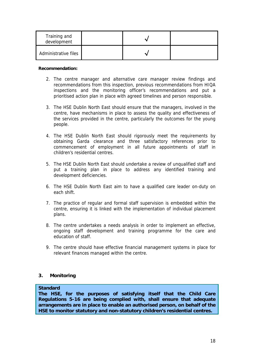| Training and<br>development |  |  |
|-----------------------------|--|--|
| Administrative files        |  |  |

#### **Recommendation:**

- 2. The centre manager and alternative care manager review findings and recommendations from this inspection, previous recommendations from HIQA inspections and the monitoring officer's recommendations and put a prioritised action plan in place with agreed timelines and person responsible.
- 3. The HSE Dublin North East should ensure that the managers, involved in the centre, have mechanisms in place to assess the quality and effectiveness of the services provided in the centre, particularly the outcomes for the young people.
- 4. The HSE Dublin North East should rigorously meet the requirements by obtaining Garda clearance and three satisfactory references prior to commencement of employment in all future appointments of staff in children's residential centres.
- 5. The HSE Dublin North East should undertake a review of unqualified staff and put a training plan in place to address any identified training and development deficiencies.
- 6. The HSE Dublin North East aim to have a qualified care leader on-duty on each shift.
- 7. The practice of regular and formal staff supervision is embedded within the centre, ensuring it is linked with the implementation of individual placement plans.
- 8. The centre undertakes a needs analysis in order to implement an effective, ongoing staff development and training programme for the care and education of staff.
- 9. The centre should have effective financial management systems in place for relevant finances managed within the centre.

#### **3. Monitoring**

#### **Standard**

**The HSE, for the purposes of satisfying itself that the Child Care Regulations 5-16 are being complied with, shall ensure that adequate arrangements are in place to enable an authorised person, on behalf of the HSE to monitor statutory and non-statutory children's residential centres.**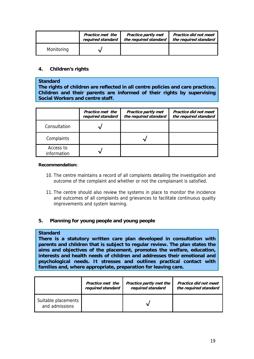|            | Practice met the  | <b>Practice partly met</b> | Practice did not meet |
|------------|-------------------|----------------------------|-----------------------|
|            | required standard | the required standard      | the required standard |
| Monitoring |                   |                            |                       |

#### **4. Children's rights**

#### **Standard**

**The rights of children are reflected in all centre policies and care practices. Children and their parents are informed of their rights by supervising Social Workers and centre staff.** 

|                          | Practice met the<br>required standard | <b>Practice partly met</b><br>the required standard | Practice did not meet<br>the required standard |
|--------------------------|---------------------------------------|-----------------------------------------------------|------------------------------------------------|
| Consultation             |                                       |                                                     |                                                |
| Complaints               |                                       |                                                     |                                                |
| Access to<br>information |                                       |                                                     |                                                |

#### **Recommendation:**

- 10. The centre maintains a record of all complaints detailing the investigation and outcome of the complaint and whether or not the complainant is satisfied.
- 11. The centre should also review the systems in place to monitor the incidence and outcomes of all complaints and grievances to facilitate continuous quality improvements and system learning.

#### **5. Planning for young people and young people**

#### **Standard**

**There is a statutory written care plan developed in consultation with parents and children that is subject to regular review. The plan states the aims and objectives of the placement, promotes the welfare, education, interests and health needs of children and addresses their emotional and psychological needs. It stresses and outlines practical contact with families and, where appropriate, preparation for leaving care.** 

|                                       | Practice met the  | Practice partly met the | Practice did not meet |
|---------------------------------------|-------------------|-------------------------|-----------------------|
|                                       | required standard | required standard       | the required standard |
| Suitable placements<br>and admissions |                   |                         |                       |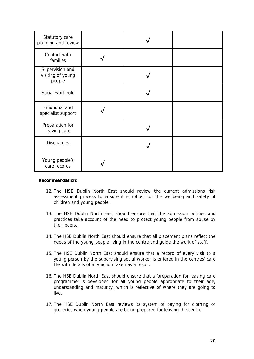| Statutory care<br>planning and review          |  |  |
|------------------------------------------------|--|--|
| Contact with<br>families                       |  |  |
| Supervision and<br>visiting of young<br>people |  |  |
| Social work role                               |  |  |
| Emotional and<br>specialist support            |  |  |
| Preparation for<br>leaving care                |  |  |
| Discharges                                     |  |  |
| Young people's<br>care records                 |  |  |

#### **Recommendation:**

- 12. The HSE Dublin North East should review the current admissions risk assessment process to ensure it is robust for the wellbeing and safety of children and young people.
- 13. The HSE Dublin North East should ensure that the admission policies and practices take account of the need to protect young people from abuse by their peers.
- 14. The HSE Dublin North East should ensure that all placement plans reflect the needs of the young people living in the centre and guide the work of staff.
- 15. The HSE Dublin North East should ensure that a record of every visit to a young person by the supervising social worker is entered in the centres' care file with details of any action taken as a result.
- 16. The HSE Dublin North East should ensure that a 'preparation for leaving care programme' is developed for all young people appropriate to their age, understanding and maturity, which is reflective of where they are going to live.
- 17. The HSE Dublin North East reviews its system of paying for clothing or groceries when young people are being prepared for leaving the centre.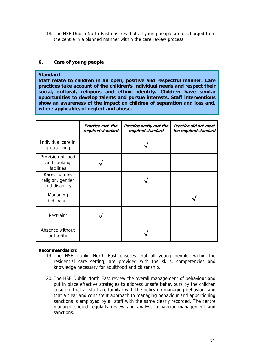18. The HSE Dublin North East ensures that all young people are discharged from the centre in a planned manner within the care review process.

#### **6. Care of young people**

#### **Standard**

**Staff relate to children in an open, positive and respectful manner. Care practices take account of the children's individual needs and respect their social, cultural, religious and ethnic identity. Children have similar opportunities to develop talents and pursue interests. Staff interventions show an awareness of the impact on children of separation and loss and, where applicable, of neglect and abuse.** 

|                                                      | Practice met the<br>required standard | Practice partly met the<br>required standard | Practice did not meet<br>the required standard |
|------------------------------------------------------|---------------------------------------|----------------------------------------------|------------------------------------------------|
| Individual care in<br>group living                   |                                       |                                              |                                                |
| Provision of food<br>and cooking<br>facilities       |                                       |                                              |                                                |
| Race, culture,<br>religion, gender<br>and disability |                                       |                                              |                                                |
| Managing<br>behaviour                                |                                       |                                              |                                                |
| Restraint                                            |                                       |                                              |                                                |
| Absence without<br>authority                         |                                       |                                              |                                                |

#### **Recommendation:**

- 19. The HSE Dublin North East ensures that all young people, within the residential care setting, are provided with the skills, competencies and knowledge necessary for adulthood and citizenship.
- 20. The HSE Dublin North East review the overall management of behaviour and put in place effective strategies to address unsafe behaviours by the children ensuring that all staff are familiar with the policy on managing behaviour and that a clear and consistent approach to managing behaviour and apportioning sanctions is employed by all staff with the same clearly recorded. The centre manager should regularly review and analyse behaviour management and sanctions.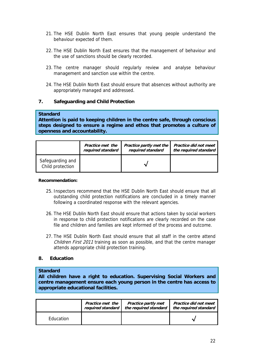- 21. The HSE Dublin North East ensures that young people understand the behaviour expected of them.
- 22. The HSE Dublin North East ensures that the management of behaviour and the use of sanctions should be clearly recorded.
- 23. The centre manager should regularly review and analyse behaviour management and sanction use within the centre.
- 24. The HSE Dublin North East should ensure that absences without authority are appropriately managed and addressed.

#### **7. Safeguarding and Child Protection**

#### **Standard**

**Attention is paid to keeping children in the centre safe, through conscious steps designed to ensure a regime and ethos that promotes a culture of openness and accountability.** 

|                                      | Practice met the  | Practice partly met the | Practice did not meet |
|--------------------------------------|-------------------|-------------------------|-----------------------|
|                                      | required standard | required standard       | the required standard |
| Safeguarding and<br>Child protection |                   |                         |                       |

#### **Recommendation:**

- 25. Inspectors recommend that the HSE Dublin North East should ensure that all outstanding child protection notifications are concluded in a timely manner following a coordinated response with the relevant agencies.
- 26. The HSE Dublin North East should ensure that actions taken by social workers in response to child protection notifications are clearly recorded on the case file and children and families are kept informed of the process and outcome.
- 27. The HSE Dublin North East should ensure that all staff in the centre attend Children First 2011 training as soon as possible, and that the centre manager attends appropriate child protection training.

#### **8. Education**

#### **Standard**

**All children have a right to education. Supervising Social Workers and centre management ensure each young person in the centre has access to appropriate educational facilities.** 

|                  | Practice met the  | <b>Practice partly met</b> | Practice did not meet |
|------------------|-------------------|----------------------------|-----------------------|
|                  | required standard | the required standard      | the required standard |
| <b>Education</b> |                   |                            |                       |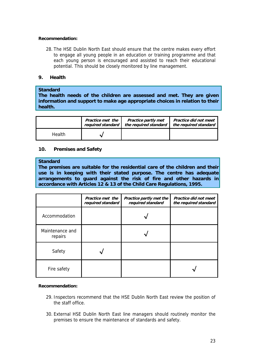#### **Recommendation:**

28. The HSE Dublin North East should ensure that the centre makes every effort to engage all young people in an education or training programme and that each young person is encouraged and assisted to reach their educational potential. This should be closely monitored by line management.

#### **9. Health**

#### **Standard**

**The health needs of the children are assessed and met. They are given information and support to make age appropriate choices in relation to their health.** 

|        | Practice met the  | <b>Practice partly met</b> | Practice did not meet |
|--------|-------------------|----------------------------|-----------------------|
|        | required standard | the required standard      | the required standard |
| Health |                   |                            |                       |

#### **10. Premises and Safety**

#### **Standard**

**The premises are suitable for the residential care of the children and their use is in keeping with their stated purpose. The centre has adequate arrangements to guard against the risk of fire and other hazards in accordance with Articles 12 & 13 of the Child Care Regulations, 1995.** 

|                            | Practice met the<br>required standard | Practice partly met the<br>required standard | Practice did not meet<br>the required standard |
|----------------------------|---------------------------------------|----------------------------------------------|------------------------------------------------|
| Accommodation              |                                       |                                              |                                                |
| Maintenance and<br>repairs |                                       |                                              |                                                |
| Safety                     |                                       |                                              |                                                |
| Fire safety                |                                       |                                              |                                                |

#### **Recommendation:**

- 29. Inspectors recommend that the HSE Dublin North East review the position of the staff office.
- 30. External HSE Dublin North East line managers should routinely monitor the premises to ensure the maintenance of standards and safety.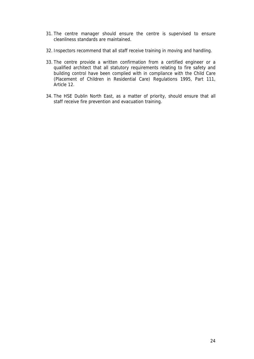- 31. The centre manager should ensure the centre is supervised to ensure cleanliness standards are maintained.
- 32. Inspectors recommend that all staff receive training in moving and handling.
- 33. The centre provide a written confirmation from a certified engineer or a qualified architect that all statutory requirements relating to fire safety and building control have been complied with in compliance with the Child Care (Placement of Children in Residential Care) Regulations 1995, Part 111, Article 12.
- 34. The HSE Dublin North East, as a matter of priority, should ensure that all staff receive fire prevention and evacuation training.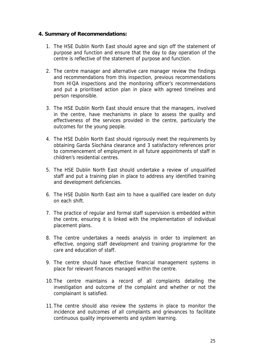#### **4. Summary of Recommendations:**

- 1. The HSE Dublin North East should agree and sign off the statement of purpose and function and ensure that the day to day operation of the centre is reflective of the statement of purpose and function.
- 2. The centre manager and alternative care manager review the findings and recommendations from this inspection, previous recommendations from HIQA inspections and the monitoring officer's recommendations and put a prioritised action plan in place with agreed timelines and person responsible.
- 3. The HSE Dublin North East should ensure that the managers, involved in the centre, have mechanisms in place to assess the quality and effectiveness of the services provided in the centre, particularly the outcomes for the young people.
- 4. The HSE Dublin North East should rigorously meet the requirements by obtaining Garda Síochána clearance and 3 satisfactory references prior to commencement of employment in all future appointments of staff in children's residential centres.
- 5. The HSE Dublin North East should undertake a review of unqualified staff and put a training plan in place to address any identified training and development deficiencies.
- 6. The HSE Dublin North East aim to have a qualified care leader on duty on each shift.
- 7. The practice of regular and formal staff supervision is embedded within the centre, ensuring it is linked with the implementation of individual placement plans.
- 8. The centre undertakes a needs analysis in order to implement an effective, ongoing staff development and training programme for the care and education of staff.
- 9. The centre should have effective financial management systems in place for relevant finances managed within the centre.
- 10.The centre maintains a record of all complaints detailing the investigation and outcome of the complaint and whether or not the complainant is satisfied.
- 11.The centre should also review the systems in place to monitor the incidence and outcomes of all complaints and grievances to facilitate continuous quality improvements and system learning.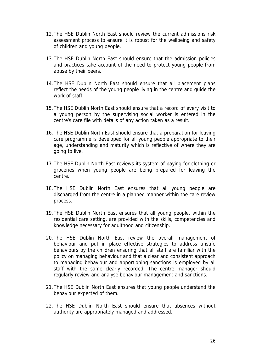- 12.The HSE Dublin North East should review the current admissions risk assessment process to ensure it is robust for the wellbeing and safety of children and young people.
- 13.The HSE Dublin North East should ensure that the admission policies and practices take account of the need to protect young people from abuse by their peers.
- 14.The HSE Dublin North East should ensure that all placement plans reflect the needs of the young people living in the centre and guide the work of staff.
- 15.The HSE Dublin North East should ensure that a record of every visit to a young person by the supervising social worker is entered in the centre's care file with details of any action taken as a result.
- 16.The HSE Dublin North East should ensure that a preparation for leaving care programme is developed for all young people appropriate to their age, understanding and maturity which is reflective of where they are going to live.
- 17.The HSE Dublin North East reviews its system of paying for clothing or groceries when young people are being prepared for leaving the centre.
- 18.The HSE Dublin North East ensures that all young people are discharged from the centre in a planned manner within the care review process.
- 19.The HSE Dublin North East ensures that all young people, within the residential care setting, are provided with the skills, competencies and knowledge necessary for adulthood and citizenship.
- 20.The HSE Dublin North East review the overall management of behaviour and put in place effective strategies to address unsafe behaviours by the children ensuring that all staff are familiar with the policy on managing behaviour and that a clear and consistent approach to managing behaviour and apportioning sanctions is employed by all staff with the same clearly recorded. The centre manager should regularly review and analyse behaviour management and sanctions.
- 21.The HSE Dublin North East ensures that young people understand the behaviour expected of them.
- 22.The HSE Dublin North East should ensure that absences without authority are appropriately managed and addressed.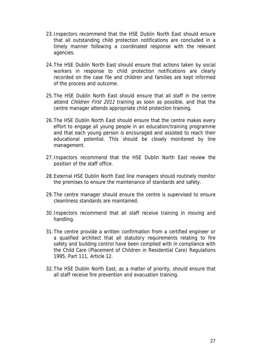- 23.Inspectors recommend that the HSE Dublin North East should ensure that all outstanding child protection notifications are concluded in a timely manner following a coordinated response with the relevant agencies.
- 24.The HSE Dublin North East should ensure that actions taken by social workers in response to child protection notifications are clearly recorded on the case file and children and families are kept informed of the process and outcome.
- 25.The HSE Dublin North East should ensure that all staff in the centre attend *Children First 2011* training as soon as possible, and that the centre manager attends appropriate child protection training.
- 26.The HSE Dublin North East should ensure that the centre makes every effort to engage all young people in an education/training programme and that each young person is encouraged and assisted to reach their educational potential. This should be closely monitored by line management.
- 27.Inspectors recommend that the HSE Dublin North East review the position of the staff office.
- 28.External HSE Dublin North East line managers should routinely monitor the premises to ensure the maintenance of standards and safety.
- 29.The centre manager should ensure the centre is supervised to ensure cleanliness standards are maintained.
- 30.Inspectors recommend that all staff receive training in moving and handling.
- 31.The centre provide a written confirmation from a certified engineer or a qualified architect that all statutory requirements relating to fire safety and building control have been complied with in compliance with the Child Care (Placement of Children in Residential Care) Regulations 1995, Part 111, Article 12.
- 32.The HSE Dublin North East, as a matter of priority, should ensure that all staff receive fire prevention and evacuation training.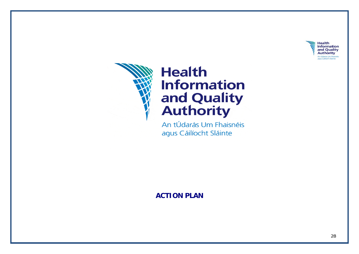



# **Health Information** and Quality<br>Authority

An tÚdarás Um Fhaisnéis agus Cáilíocht Sláinte

**ACTION PLAN**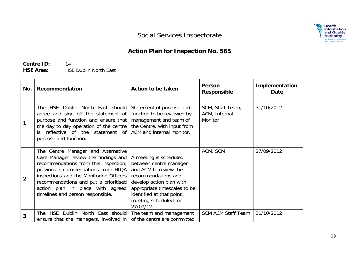

## **Action Plan for Inspection No. 565**

**Centre ID:** 14 **HSE Area:** HSE Dublin North East

| No.            | Recommendation                                                                                                                                                                                                                                                                                                         | Action to be taken                                                                                                                                                                                                              | Person<br><b>Responsible</b>                 | <b>Implementation</b><br>Date |
|----------------|------------------------------------------------------------------------------------------------------------------------------------------------------------------------------------------------------------------------------------------------------------------------------------------------------------------------|---------------------------------------------------------------------------------------------------------------------------------------------------------------------------------------------------------------------------------|----------------------------------------------|-------------------------------|
|                | The HSE Dublin North East should<br>agree and sign off the statement of<br>purpose and function and ensure that<br>the day to day operation of the centre<br>reflective of the statement of<br>purpose and function.                                                                                                   | Statement of purpose and<br>function to be reviewed by<br>management and team of<br>the Centre, with input from<br>ACM and internal monitor.                                                                                    | SCM, Staff Team,<br>ACM, Internal<br>Monitor | 31/10/2012                    |
| $\overline{2}$ | The Centre Manager and Alternative<br>Care Manager review the findings and<br>recommendations from this inspection,<br>previous recommendations from HIQA<br>inspections and the Monitoring Officers<br>recommendations and put a prioritised<br>action plan in place with agreed<br>timelines and person responsible. | A meeting is scheduled<br>between centre manager<br>and ACM to review the<br>recommendations and<br>develop action plan with<br>appropriate timescales to be<br>identified at that point.<br>meeting scheduled for<br>27/09/12. | ACM, SCM                                     | 27/09/2012                    |
| 3              | Dublin North East should   The team and management<br>The HSE<br>ensure that the managers, involved in                                                                                                                                                                                                                 | of the centre are committed                                                                                                                                                                                                     | <b>SCM ACM Staff Team</b>                    | 31/10/2012                    |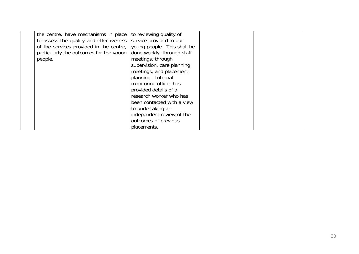| the centre, have mechanisms in place    | to reviewing quality of     |  |
|-----------------------------------------|-----------------------------|--|
| to assess the quality and effectiveness | service provided to our     |  |
| of the services provided in the centre, | young people. This shall be |  |
| particularly the outcomes for the young | done weekly, through staff  |  |
| people.                                 | meetings, through           |  |
|                                         | supervision, care planning  |  |
|                                         | meetings, and placement     |  |
|                                         | planning. Internal          |  |
|                                         | monitoring officer has      |  |
|                                         | provided details of a       |  |
|                                         | research worker who has     |  |
|                                         | been contacted with a view  |  |
|                                         | to undertaking an           |  |
|                                         | independent review of the   |  |
|                                         | outcomes of previous        |  |
|                                         | placements.                 |  |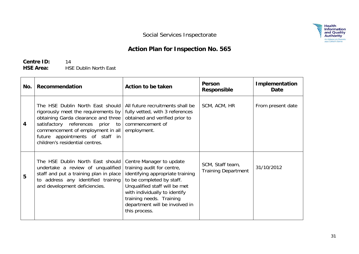## **Action Plan for Inspection No. 565**

**Centre ID:** 14 **HSE Area:** HSE Dublin North East

| No.            | Recommendation                                                                                                                                                                                                                                                | <b>Action to be taken</b>                                                                                                                                                                                                                                                | <b>Person</b><br>Responsible                   | Implementation<br>Date |
|----------------|---------------------------------------------------------------------------------------------------------------------------------------------------------------------------------------------------------------------------------------------------------------|--------------------------------------------------------------------------------------------------------------------------------------------------------------------------------------------------------------------------------------------------------------------------|------------------------------------------------|------------------------|
| $\overline{4}$ | The HSE Dublin North East should<br>rigorously meet the requirements by<br>obtaining Garda clearance and three<br>satisfactory references prior to<br>commencement of employment in all<br>future appointments of staff in<br>children's residential centres. | All future recruitments shall be<br>fully vetted, with 3 references<br>obtained and verified prior to<br>commencement of<br>employment.                                                                                                                                  | SCM, ACM, HR                                   | From present date      |
| 5              | The HSE Dublin North East should<br>undertake a review of unqualified<br>staff and put a training plan in place<br>address any identified training<br>and development deficiencies.                                                                           | Centre Manager to update<br>training audit for centre,<br>identifying appropriate training<br>to be completed by staff.<br>Unqualified staff will be met<br>with individually to identify<br>training needs. Training<br>department will be involved in<br>this process. | SCM, Staff team,<br><b>Training Department</b> | 31/10/2012             |

 $\begin{array}{c} \mathbf{Health} \\ \mathbf{information} \\ \mathbf{and Quality} \\ \mathbf{Authority} \\ \mathbf{Authority} \\ \mathbf{Any} \; \mathsf{Cailicht} \\ \mathsf{Saintel} \\ \mathsf{Sight} \\ \mathsf{Sight} \\ \mathsf{Bight} \end{array}$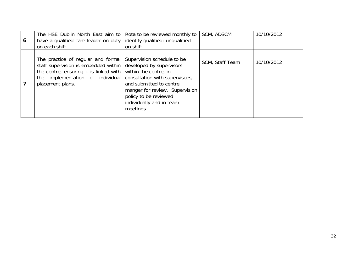| 6 | The HSE Dublin North East aim to<br>have a qualified care leader on duty<br>on each shift.                                                                                   | Rota to be reviewed monthly to<br>identify qualified: unqualified<br>on shift.                                                                                                                                                                   | SCM, ADSCM      | 10/10/2012 |
|---|------------------------------------------------------------------------------------------------------------------------------------------------------------------------------|--------------------------------------------------------------------------------------------------------------------------------------------------------------------------------------------------------------------------------------------------|-----------------|------------|
|   | The practice of regular and formal<br>staff supervision is embedded within<br>the centre, ensuring it is linked with<br>the implementation of individual<br>placement plans. | Supervision schedule to be<br>developed by supervisors<br>within the centre, in<br>consultation with supervisees,<br>and submitted to centre<br>manger for review. Supervision<br>policy to be reviewed<br>individually and in team<br>meetings. | SCM, Staff Team | 10/10/2012 |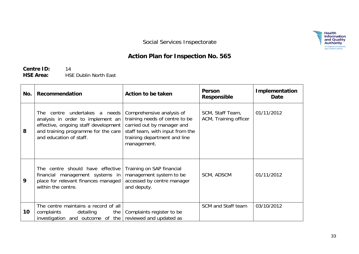$\begin{array}{c} \mathbf{Health} \\ \mathbf{information} \\ \mathbf{and} \ \mathbf{Quality} \\ \mathbf{Authority} \\ \mathbf{Author} \\ \mathbf{Bayes} \ \mathsf{Cailicht} \\ \mathsf{Slaite} \\ \mathsf{Slaite} \end{array}$ 

Social Services Inspectorate

## **Action Plan for Inspection No. 565**

**Centre ID:** 14 **HSE Area:** HSE Dublin North East

| No. | <b>Recommendation</b>                                                                                                                                                        | Action to be taken                                                                                                                                                          | Person<br><b>Responsible</b>              | Implementation<br>Date |
|-----|------------------------------------------------------------------------------------------------------------------------------------------------------------------------------|-----------------------------------------------------------------------------------------------------------------------------------------------------------------------------|-------------------------------------------|------------------------|
| 8   | The centre undertakes a needs<br>analysis in order to implement an<br>effective, ongoing staff development<br>and training programme for the care<br>and education of staff. | Comprehensive analysis of<br>training needs of centre to be<br>carried out by manager and<br>staff team, with input from the<br>training department and line<br>management. | SCM, Staff Team,<br>ACM, Training officer | 01/11/2012             |
| 9   | The centre should have effective<br>financial management systems in<br>place for relevant finances managed<br>within the centre.                                             | Training on SAP financial<br>management system to be<br>accessed by centre manager<br>and deputy.                                                                           | SCM, ADSCM                                | 01/11/2012             |
| 10  | The centre maintains a record of all<br>complaints<br>detailing<br>the<br>investigation and outcome of the reviewed and updated as                                           | Complaints register to be                                                                                                                                                   | SCM and Staff team                        | 03/10/2012             |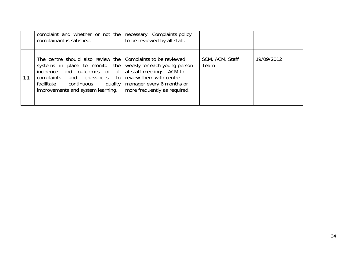|    | complaint and whether or not the<br>complainant is satisfied.                                                                                                                                                                                                                                                        | necessary. Complaints policy<br>to be reviewed by all staff. |                         |            |
|----|----------------------------------------------------------------------------------------------------------------------------------------------------------------------------------------------------------------------------------------------------------------------------------------------------------------------|--------------------------------------------------------------|-------------------------|------------|
| 11 | The centre should also review the Complaints to be reviewed<br>systems in place to monitor the weekly for each young person<br>incidence and outcomes of all at staff meetings. ACM to<br>complaints and grievances to review them with centre<br>facilitate continuous quality<br>improvements and system learning. | manager every 6 months or<br>more frequently as required.    | SCM, ACM, Staff<br>Team | 19/09/2012 |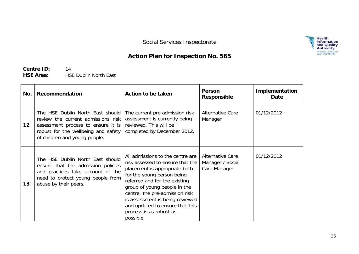## **Action Plan for Inspection No. 565**

**Centre ID:** 14 **HSE Area:** HSE Dublin North East

| No. | Recommendation                                                                                                                                                                       | Action to be taken                                                                                                                                                                                                                                                                                                                                   | Person<br><b>Responsible</b>                                | Implementation<br>Date |
|-----|--------------------------------------------------------------------------------------------------------------------------------------------------------------------------------------|------------------------------------------------------------------------------------------------------------------------------------------------------------------------------------------------------------------------------------------------------------------------------------------------------------------------------------------------------|-------------------------------------------------------------|------------------------|
| 12  | The HSE Dublin North East should<br>review the current admissions risk<br>assessment process to ensure it is<br>robust for the wellbeing and safety<br>of children and young people. | The current pre admission risk<br>assessment is currently being<br>reviewed. This will be<br>completed by December 2012.                                                                                                                                                                                                                             | <b>Alternative Care</b><br>Manager                          | 01/12/2012             |
| 13  | The HSE Dublin North East should<br>ensure that the admission policies<br>and practices take account of the<br>need to protect young people from<br>abuse by their peers.            | All admissions to the centre are<br>risk assessed to ensure that the<br>placement is appropriate both<br>for the young person being<br>referred and for the existing<br>group of young people in the<br>centre; the pre-admission risk<br>is assessment is being reviewed<br>and updated to ensure that this<br>process is as robust as<br>possible. | <b>Alternative Care</b><br>Manager / Social<br>Care Manager | 01/12/2012             |

 $\begin{array}{c} \mathbf{Health} \\ \mathbf{information} \\ \mathbf{and Quality} \\ \mathbf{Authority} \\ \mathbf{Authority} \\ \mathbf{As subset of the Haansles} \\ \mathbf{days} \ \mathsf{Calilocht Slainte} \end{array}$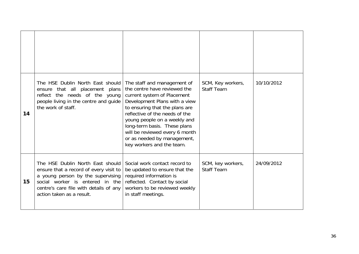| 14 | The HSE Dublin North East should<br>ensure that all placement plans<br>reflect the needs of the young<br>people living in the centre and guide<br>the work of staff.                                                      | The staff and management of<br>the centre have reviewed the<br>current system of Placement<br>Development Plans with a view<br>to ensuring that the plans are<br>reflective of the needs of the<br>young people on a weekly and<br>long-term basis. These plans<br>will be reviewed every 6 month<br>or as needed by management,<br>key workers and the team. | SCM, Key workers,<br><b>Staff Team</b> | 10/10/2012 |
|----|---------------------------------------------------------------------------------------------------------------------------------------------------------------------------------------------------------------------------|---------------------------------------------------------------------------------------------------------------------------------------------------------------------------------------------------------------------------------------------------------------------------------------------------------------------------------------------------------------|----------------------------------------|------------|
| 15 | The HSE Dublin North East should<br>ensure that a record of every visit to<br>a young person by the supervising<br>social worker is entered in the<br>centre's care file with details of any<br>action taken as a result. | Social work contact record to<br>be updated to ensure that the<br>required information is<br>reflected. Contact by social<br>workers to be reviewed weekly<br>in staff meetings.                                                                                                                                                                              | SCM, key workers,<br><b>Staff Team</b> | 24/09/2012 |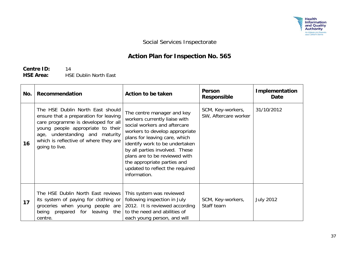

## **Action Plan for Inspection No. 565**

**Centre ID:** 14 **HSE Area:** HSE Dublin North East

| No. | Recommendation                                                                                                                                                                                                                                      | <b>Action to be taken</b>                                                                                                                                                                                                                                                                                                                             | <b>Person</b><br><b>Responsible</b>       | Implementation<br>Date |
|-----|-----------------------------------------------------------------------------------------------------------------------------------------------------------------------------------------------------------------------------------------------------|-------------------------------------------------------------------------------------------------------------------------------------------------------------------------------------------------------------------------------------------------------------------------------------------------------------------------------------------------------|-------------------------------------------|------------------------|
| 16  | The HSE Dublin North East should<br>ensure that a preparation for leaving<br>care programme is developed for all<br>young people appropriate to their<br>age, understanding and maturity<br>which is reflective of where they are<br>going to live. | The centre manager and key<br>workers currently liaise with<br>social workers and aftercare<br>workers to develop appropriate<br>plans for leaving care, which<br>identify work to be undertaken<br>by all parties involved. These<br>plans are to be reviewed with<br>the appropriate parties and<br>updated to reflect the required<br>information. | SCM, Key-workers,<br>SW, Aftercare worker | 31/10/2012             |
| 17  | The HSE Dublin North East reviews<br>its system of paying for clothing or<br>groceries when young people are<br>being prepared for leaving the<br>centre.                                                                                           | This system was reviewed<br>following inspection in July<br>2012. It is reviewed according<br>to the need and abilities of<br>each young person, and will                                                                                                                                                                                             | SCM, Key-workers,<br>Staff team           | <b>July 2012</b>       |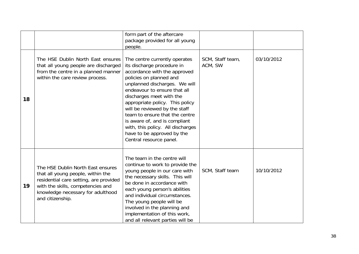|    |                                                                                                                                                                                                                | form part of the aftercare<br>package provided for all young<br>people.                                                                                                                                                                                                                                                                                                                                                                                  |                             |            |
|----|----------------------------------------------------------------------------------------------------------------------------------------------------------------------------------------------------------------|----------------------------------------------------------------------------------------------------------------------------------------------------------------------------------------------------------------------------------------------------------------------------------------------------------------------------------------------------------------------------------------------------------------------------------------------------------|-----------------------------|------------|
| 18 | The HSE Dublin North East ensures<br>that all young people are discharged<br>from the centre in a planned manner<br>within the care review process.                                                            | The centre currently operates<br>its discharge procedure in<br>accordance with the approved<br>policies on planned and<br>unplanned discharges. We will<br>endeavour to ensure that all<br>discharges meet with the<br>appropriate policy. This policy<br>will be reviewed by the staff<br>team to ensure that the centre<br>is aware of, and is compliant<br>with, this policy. All discharges<br>have to be approved by the<br>Central resource panel. | SCM, Staff team,<br>ACM, SW | 03/10/2012 |
| 19 | The HSE Dublin North East ensures<br>that all young people, within the<br>residential care setting, are provided<br>with the skills, competencies and<br>knowledge necessary for adulthood<br>and citizenship. | The team in the centre will<br>continue to work to provide the<br>young people in our care with<br>the necessary skills. This will<br>be done in accordance with<br>each young person's abilities<br>and individual circumstances.<br>The young people will be<br>involved in the planning and<br>implementation of this work,<br>and all relevant parties will be                                                                                       | SCM, Staff team             | 10/10/2012 |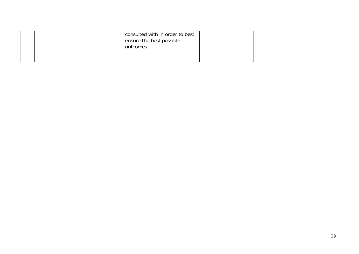|  | consulted with in order to best<br>ensure the best possible<br>outcomes. |  |
|--|--------------------------------------------------------------------------|--|
|  |                                                                          |  |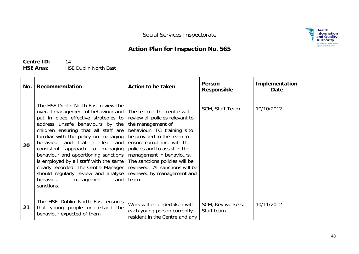**Health<br>Information<br>and Quality<br>Authority** 

An tÚdarás Um Fhaisn<br>agus Cáilíocht Sláinte

## **Action Plan for Inspection No. 565**

**Centre ID:** 14 **HSE Area:** HSE Dublin North East

| No. | Recommendation                                                                                                                                                                                                                                                                                                                                                                                                                                                                                                                | Action to be taken                                                                                                                                                                                                                                                                                                                                         | Person<br><b>Responsible</b>    | <b>Implementation</b><br>Date |
|-----|-------------------------------------------------------------------------------------------------------------------------------------------------------------------------------------------------------------------------------------------------------------------------------------------------------------------------------------------------------------------------------------------------------------------------------------------------------------------------------------------------------------------------------|------------------------------------------------------------------------------------------------------------------------------------------------------------------------------------------------------------------------------------------------------------------------------------------------------------------------------------------------------------|---------------------------------|-------------------------------|
| 20  | The HSE Dublin North East review the<br>overall management of behaviour and<br>put in place effective strategies to<br>address unsafe behaviours by the<br>children ensuring that all staff are<br>familiar with the policy on managing<br>behaviour and that a clear and<br>consistent approach to managing<br>behaviour and apportioning sanctions<br>is employed by all staff with the same<br>clearly recorded. The Centre Manager<br>should regularly review and analyse<br>behaviour<br>management<br>and<br>sanctions. | The team in the centre will<br>review all policies relevant to<br>the management of<br>behaviour. TCI training is to<br>be provided to the team to<br>ensure compliance with the<br>policies and to assist in the<br>management in behaviours.<br>The sanctions policies will be<br>reviewed. All sanctions will be<br>reviewed by management and<br>team. | SCM, Staff Team                 | 10/10/2012                    |
| 21  | The HSE Dublin North East ensures<br>that young people understand the<br>behaviour expected of them.                                                                                                                                                                                                                                                                                                                                                                                                                          | Work will be undertaken with<br>each young person currently<br>resident in the Centre and any                                                                                                                                                                                                                                                              | SCM, Key workers,<br>Staff team | 10/11/2012                    |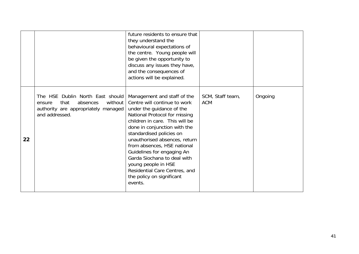|    |                                                                                                                                      | future residents to ensure that<br>they understand the<br>behavioural expectations of<br>the centre. Young people will<br>be given the opportunity to<br>discuss any issues they have,<br>and the consequences of<br>actions will be explained.                                                                                                                                                                                                      |                                |         |
|----|--------------------------------------------------------------------------------------------------------------------------------------|------------------------------------------------------------------------------------------------------------------------------------------------------------------------------------------------------------------------------------------------------------------------------------------------------------------------------------------------------------------------------------------------------------------------------------------------------|--------------------------------|---------|
| 22 | The HSE Dublin North East should<br>absences<br>without  <br>that<br>ensure<br>authority are appropriately managed<br>and addressed. | Management and staff of the<br>Centre will continue to work<br>under the guidance of the<br>National Protocol for missing<br>children in care. This will be<br>done in conjunction with the<br>standardised policies on<br>unauthorised absences, return<br>from absences, HSE national<br>Guidelines for engaging An<br>Garda Siochana to deal with<br>young people in HSE<br>Residential Care Centres, and<br>the policy on significant<br>events. | SCM, Staff team,<br><b>ACM</b> | Ongoing |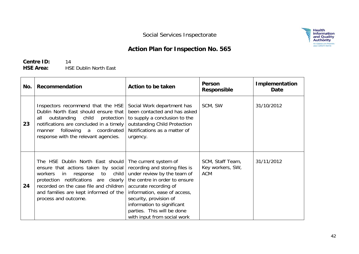## **Action Plan for Inspection No. 565**

**Centre ID:** 14 **HSE Area:** HSE Dublin North East

| No. | Recommendation                                                                                                                                                                                                                                                      | Action to be taken                                                                                                                                                                                                                                                                                    | Person<br><b>Responsible</b>                       | Implementation<br>Date |
|-----|---------------------------------------------------------------------------------------------------------------------------------------------------------------------------------------------------------------------------------------------------------------------|-------------------------------------------------------------------------------------------------------------------------------------------------------------------------------------------------------------------------------------------------------------------------------------------------------|----------------------------------------------------|------------------------|
| 23  | Inspectors recommend that the HSE<br>Dublin North East should ensure that<br>outstanding child<br>protection<br>all<br>notifications are concluded in a timely<br>coordinated<br>following a<br>manner<br>response with the relevant agencies.                      | Social Work department has<br>been contacted and has asked<br>to supply a conclusion to the<br>outstanding Child Protection<br>Notifications as a matter of<br>urgency.                                                                                                                               | SCM, SW                                            | 31/10/2012             |
| 24  | The HSE Dublin North East should<br>ensure that actions taken by social<br>workers<br>response to<br>child<br>in<br>protection notifications are clearly<br>recorded on the case file and children<br>and families are kept informed of the<br>process and outcome. | The current system of<br>recording and storing files is<br>under review by the team of<br>the centre in order to ensure<br>accurate recording of<br>information, ease of access,<br>security, provision of<br>information to significant<br>parties. This will be done<br>with input from social work | SCM, Staff Team,<br>Key workers, SW,<br><b>ACM</b> | 31/11/2012             |

**Health<br>Information<br>and Quality<br>Authority** 

**An tÚdarás Um Fhaisn<br>agus Cáilíocht Sláinte**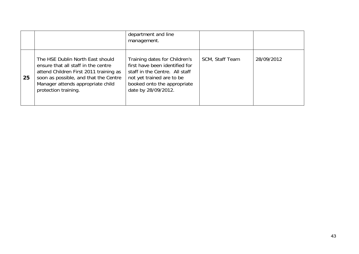|    |                                                                                                                                                                                                                         | department and line<br>management.                                                                                                                                                   |                 |            |
|----|-------------------------------------------------------------------------------------------------------------------------------------------------------------------------------------------------------------------------|--------------------------------------------------------------------------------------------------------------------------------------------------------------------------------------|-----------------|------------|
| 25 | The HSE Dublin North East should<br>ensure that all staff in the centre<br>attend Children First 2011 training as<br>soon as possible, and that the Centre<br>Manager attends appropriate child<br>protection training. | Training dates for Children's<br>first have been identified for<br>staff in the Centre. All staff<br>not yet trained are to be<br>booked onto the appropriate<br>date by 28/09/2012. | SCM, Staff Team | 28/09/2012 |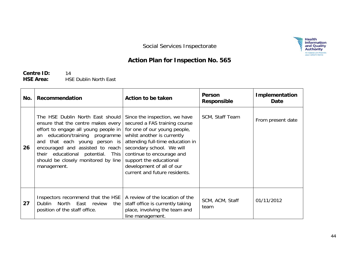

## **Action Plan for Inspection No. 565**

**Centre ID:** 14 **HSE Area:** HSE Dublin North East

| No. | Recommendation                                                                                                                                                                                                                                                                                                          | Action to be taken                                                                                                                                                                                                                                                                                                   | Person<br><b>Responsible</b> | <b>Implementation</b><br>Date |
|-----|-------------------------------------------------------------------------------------------------------------------------------------------------------------------------------------------------------------------------------------------------------------------------------------------------------------------------|----------------------------------------------------------------------------------------------------------------------------------------------------------------------------------------------------------------------------------------------------------------------------------------------------------------------|------------------------------|-------------------------------|
| 26  | The HSE Dublin North East should<br>ensure that the centre makes every<br>effort to engage all young people in<br>education/training programme<br>an<br>and that each young person is<br>encouraged and assisted to reach<br>educational potential. This<br>their<br>should be closely monitored by line<br>management. | Since the inspection, we have<br>secured a FAS training course<br>for one of our young people,<br>whilst another is currently<br>attending full-time education in<br>secondary school. We will<br>continue to encourage and<br>support the educational<br>development of all of our<br>current and future residents. | SCM, Staff Team              | From present date             |
| 27  | Inspectors recommend that the HSE   A review of the location of the<br>Dublin North East review<br>the<br>position of the staff office.                                                                                                                                                                                 | staff office is currently taking<br>place, involving the team and<br>line management.                                                                                                                                                                                                                                | SCM, ACM, Staff<br>team      | 01/11/2012                    |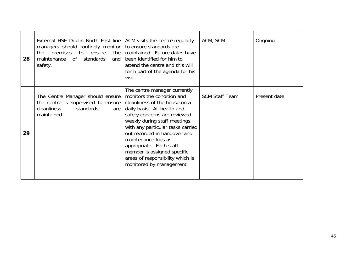| 28 | External HSE Dublin North East line   ACM visits the centre regularly<br>managers should routinely monitor<br>the premises to<br>the $ $<br>ensure<br>maintenance of standards<br>and I<br>safety. | to ensure standards are<br>maintained. Future dates have<br>been identified for him to<br>attend the centre and this will<br>form part of the agenda for his<br>visit.                                                                                                                                                                                                                                            | ACM, SCM              | Ongoing      |
|----|----------------------------------------------------------------------------------------------------------------------------------------------------------------------------------------------------|-------------------------------------------------------------------------------------------------------------------------------------------------------------------------------------------------------------------------------------------------------------------------------------------------------------------------------------------------------------------------------------------------------------------|-----------------------|--------------|
| 29 | The Centre Manager should ensure<br>the centre is supervised to ensure<br>cleanliness<br>standards<br>are<br>maintained.                                                                           | The centre manager currently<br>monitors the condition and<br>cleanliness of the house on a<br>daily basis. All health and<br>safety concerns are reviewed<br>weekly during staff meetings,<br>with any particular tasks carried<br>out recorded in handover and<br>maintenance logs as<br>appropriate. Each staff<br>member is assigned specific<br>areas of responsibility which is<br>monitored by management. | <b>SCM Staff Team</b> | Present date |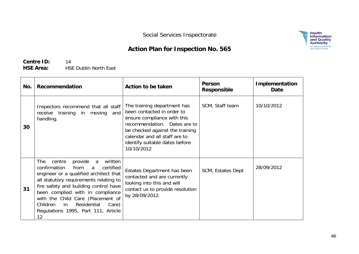### **Action Plan for Inspection No. 565**

**Centre ID:** 14 **HSE Area:** HSE Dublin North East

| No. | Recommendation                                                                                                                                                                                                                                                                                                                                                                      | Action to be taken                                                                                                                                                                                                                           | Person<br><b>Responsible</b> | <b>Implementation</b><br>Date |
|-----|-------------------------------------------------------------------------------------------------------------------------------------------------------------------------------------------------------------------------------------------------------------------------------------------------------------------------------------------------------------------------------------|----------------------------------------------------------------------------------------------------------------------------------------------------------------------------------------------------------------------------------------------|------------------------------|-------------------------------|
| 30  | Inspectors recommend that all staff<br>receive training in<br>moving and<br>handling.                                                                                                                                                                                                                                                                                               | The training department has<br>been contacted in order to<br>ensure compliance with this<br>recommendation. Dates are to<br>be checked against the training<br>calendar and all staff are to<br>identify suitable dates before<br>10/10/2012 | SCM, Staff team              | 10/10/2012                    |
| 31  | provide a<br><b>The</b><br>centre<br>written<br>confirmation<br>from<br>certified<br>a<br>engineer or a qualified architect that<br>all statutory requirements relating to<br>fire safety and building control have<br>been complied with in compliance<br>with the Child Care (Placement of<br>Children<br>Residential<br>in<br>Care)<br>Regulations 1995, Part 111, Article<br>12 | Estates Department has been<br>contacted and are currently<br>looking into this and will<br>contact us to provide resolution<br>by 28/09/2012.                                                                                               | SCM, Estates Dept            | 28/09/2012                    |

 $\begin{array}{c} \mathbf{Health} \\ \mathbf{information} \\ \mathbf{and} \ \mathbf{Quality} \\ \mathbf{Authority} \\ \mathbf{Antback} \\ \mathbf{Any} \ \mathsf{Calisch} \ \mathsf{Slante} \\ \mathsf{agus} \ \mathsf{Calisch} \ \mathsf{Slante} \end{array}$